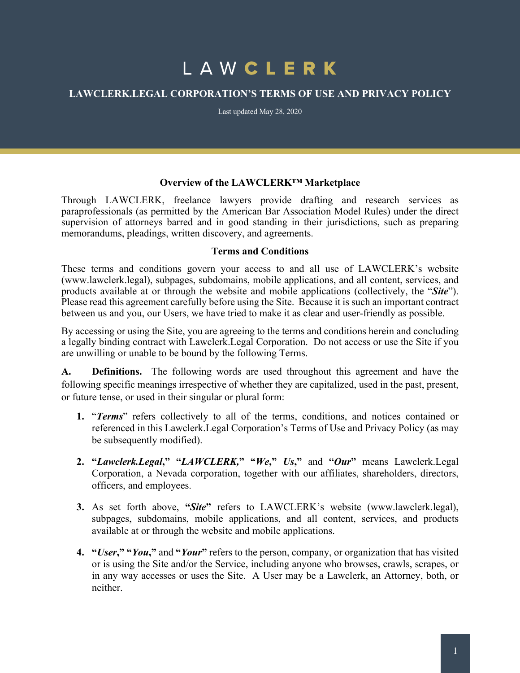# LAWCLERK

## **LAWCLERK.LEGAL CORPORATION'S TERMS OF USE AND PRIVACY POLICY**

Last updated May 28, 2020

#### **Overview of the LAWCLERK™ Marketplace**

Through LAWCLERK, freelance lawyers provide drafting and research services as paraprofessionals (as permitted by the American Bar Association Model Rules) under the direct supervision of attorneys barred and in good standing in their jurisdictions, such as preparing memorandums, pleadings, written discovery, and agreements.

#### **Terms and Conditions**

These terms and conditions govern your access to and all use of LAWCLERK's website (www.lawclerk.legal), subpages, subdomains, mobile applications, and all content, services, and products available at or through the website and mobile applications (collectively, the "*Site*"). Please read this agreement carefully before using the Site. Because it is such an important contract between us and you, our Users, we have tried to make it as clear and user-friendly as possible.

By accessing or using the Site, you are agreeing to the terms and conditions herein and concluding a legally binding contract with Lawclerk.Legal Corporation. Do not access or use the Site if you are unwilling or unable to be bound by the following Terms.

**A. Definitions.** The following words are used throughout this agreement and have the following specific meanings irrespective of whether they are capitalized, used in the past, present, or future tense, or used in their singular or plural form:

- **1.** "*Terms*" refers collectively to all of the terms, conditions, and notices contained or referenced in this Lawclerk.Legal Corporation's Terms of Use and Privacy Policy (as may be subsequently modified).
- **2. "***Lawclerk.Legal***," "***LAWCLERK,***" "***We***,"** *Us***,"** and **"***Our***"** means Lawclerk.Legal Corporation, a Nevada corporation, together with our affiliates, shareholders, directors, officers, and employees.
- **3.** As set forth above, **"***Site***"** refers to LAWCLERK's website (www.lawclerk.legal), subpages, subdomains, mobile applications, and all content, services, and products available at or through the website and mobile applications.
- **4. "***User***," "***You***,"** and **"***Your***"** refers to the person, company, or organization that has visited or is using the Site and/or the Service, including anyone who browses, crawls, scrapes, or in any way accesses or uses the Site. A User may be a Lawclerk, an Attorney, both, or neither.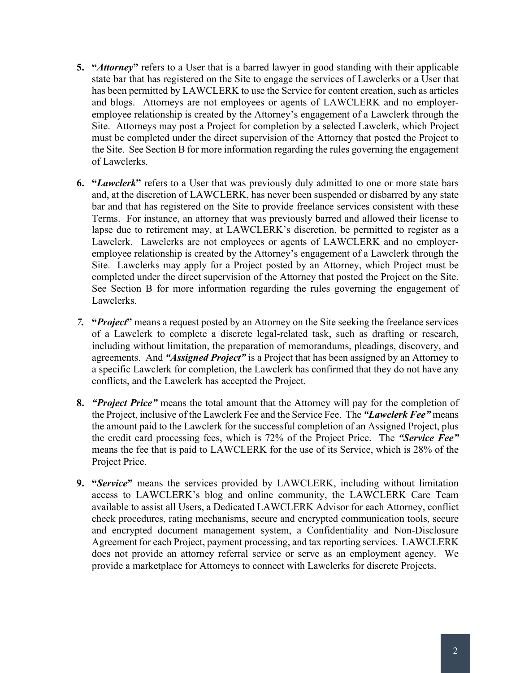- **5. "***Attorney***"** refers to a User that is a barred lawyer in good standing with their applicable state bar that has registered on the Site to engage the services of Lawclerks or a User that has been permitted by LAWCLERK to use the Service for content creation, such as articles and blogs. Attorneys are not employees or agents of LAWCLERK and no employeremployee relationship is created by the Attorney's engagement of a Lawclerk through the Site. Attorneys may post a Project for completion by a selected Lawclerk, which Project must be completed under the direct supervision of the Attorney that posted the Project to the Site. See Section B for more information regarding the rules governing the engagement of Lawclerks.
- **6. "***Lawclerk***"** refers to a User that was previously duly admitted to one or more state bars and, at the discretion of LAWCLERK, has never been suspended or disbarred by any state bar and that has registered on the Site to provide freelance services consistent with these Terms. For instance, an attorney that was previously barred and allowed their license to lapse due to retirement may, at LAWCLERK's discretion, be permitted to register as a Lawclerk. Lawclerks are not employees or agents of LAWCLERK and no employeremployee relationship is created by the Attorney's engagement of a Lawclerk through the Site. Lawclerks may apply for a Project posted by an Attorney, which Project must be completed under the direct supervision of the Attorney that posted the Project on the Site. See Section B for more information regarding the rules governing the engagement of Lawclerks.
- *7.* **"***Project***"** means a request posted by an Attorney on the Site seeking the freelance services of a Lawclerk to complete a discrete legal-related task, such as drafting or research, including without limitation, the preparation of memorandums, pleadings, discovery, and agreements. And *"Assigned Project"* is a Project that has been assigned by an Attorney to a specific Lawclerk for completion, the Lawclerk has confirmed that they do not have any conflicts, and the Lawclerk has accepted the Project.
- **8.** *"Project Price"* means the total amount that the Attorney will pay for the completion of the Project, inclusive of the Lawclerk Fee and the Service Fee. The *"Lawclerk Fee"* means the amount paid to the Lawclerk for the successful completion of an Assigned Project, plus the credit card processing fees, which is 72% of the Project Price. The *"Service Fee"* means the fee that is paid to LAWCLERK for the use of its Service, which is 28% of the Project Price.
- **9. "***Service***"** means the services provided by LAWCLERK, including without limitation access to LAWCLERK's blog and online community, the LAWCLERK Care Team available to assist all Users, a Dedicated LAWCLERK Advisor for each Attorney, conflict check procedures, rating mechanisms, secure and encrypted communication tools, secure and encrypted document management system, a Confidentiality and Non-Disclosure Agreement for each Project, payment processing, and tax reporting services. LAWCLERK does not provide an attorney referral service or serve as an employment agency. We provide a marketplace for Attorneys to connect with Lawclerks for discrete Projects.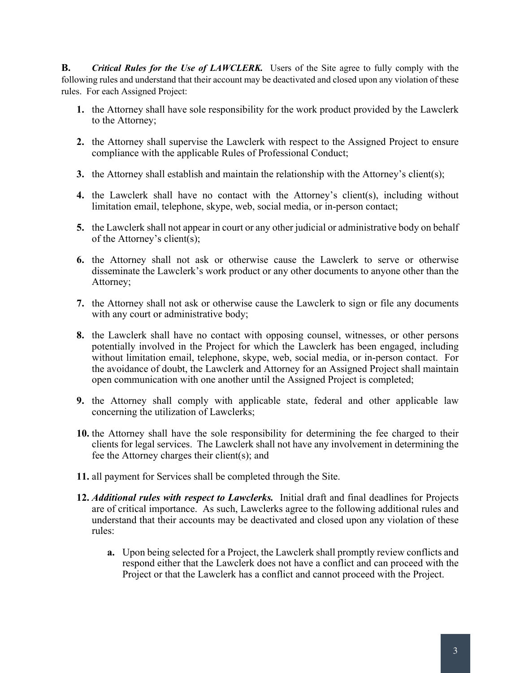**B.** *Critical Rules for the Use of LAWCLERK.* Users of the Site agree to fully comply with the following rules and understand that their account may be deactivated and closed upon any violation of these rules. For each Assigned Project:

- **1.** the Attorney shall have sole responsibility for the work product provided by the Lawclerk to the Attorney;
- **2.** the Attorney shall supervise the Lawclerk with respect to the Assigned Project to ensure compliance with the applicable Rules of Professional Conduct;
- **3.** the Attorney shall establish and maintain the relationship with the Attorney's client(s);
- **4.** the Lawclerk shall have no contact with the Attorney's client(s), including without limitation email, telephone, skype, web, social media, or in-person contact;
- **5.** the Lawclerk shall not appear in court or any other judicial or administrative body on behalf of the Attorney's client(s);
- **6.** the Attorney shall not ask or otherwise cause the Lawclerk to serve or otherwise disseminate the Lawclerk's work product or any other documents to anyone other than the Attorney;
- **7.** the Attorney shall not ask or otherwise cause the Lawclerk to sign or file any documents with any court or administrative body;
- **8.** the Lawclerk shall have no contact with opposing counsel, witnesses, or other persons potentially involved in the Project for which the Lawclerk has been engaged, including without limitation email, telephone, skype, web, social media, or in-person contact. For the avoidance of doubt, the Lawclerk and Attorney for an Assigned Project shall maintain open communication with one another until the Assigned Project is completed;
- **9.** the Attorney shall comply with applicable state, federal and other applicable law concerning the utilization of Lawclerks;
- **10.** the Attorney shall have the sole responsibility for determining the fee charged to their clients for legal services. The Lawclerk shall not have any involvement in determining the fee the Attorney charges their client(s); and
- **11.** all payment for Services shall be completed through the Site.
- **12.** *Additional rules with respect to Lawclerks.* Initial draft and final deadlines for Projects are of critical importance. As such, Lawclerks agree to the following additional rules and understand that their accounts may be deactivated and closed upon any violation of these rules:
	- **a.** Upon being selected for a Project, the Lawclerk shall promptly review conflicts and respond either that the Lawclerk does not have a conflict and can proceed with the Project or that the Lawclerk has a conflict and cannot proceed with the Project.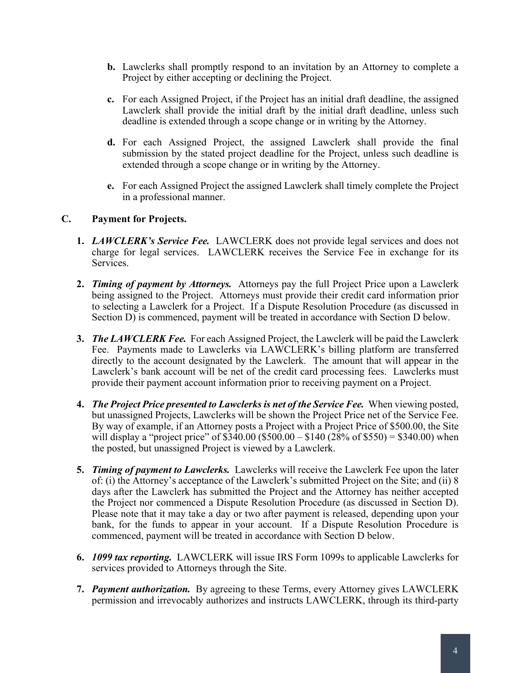- **b.** Lawclerks shall promptly respond to an invitation by an Attorney to complete a Project by either accepting or declining the Project.
- **c.** For each Assigned Project, if the Project has an initial draft deadline, the assigned Lawclerk shall provide the initial draft by the initial draft deadline, unless such deadline is extended through a scope change or in writing by the Attorney.
- **d.** For each Assigned Project, the assigned Lawclerk shall provide the final submission by the stated project deadline for the Project, unless such deadline is extended through a scope change or in writing by the Attorney.
- **e.** For each Assigned Project the assigned Lawclerk shall timely complete the Project in a professional manner.

## **C. Payment for Projects.**

- **1.** *LAWCLERK's Service Fee.* LAWCLERK does not provide legal services and does not charge for legal services. LAWCLERK receives the Service Fee in exchange for its Services.
- **2.** *Timing of payment by Attorneys.* Attorneys pay the full Project Price upon a Lawclerk being assigned to the Project. Attorneys must provide their credit card information prior to selecting a Lawclerk for a Project. If a Dispute Resolution Procedure (as discussed in Section D) is commenced, payment will be treated in accordance with Section D below.
- **3.** *The LAWCLERK Fee.* For each Assigned Project, the Lawclerk will be paid the Lawclerk Fee. Payments made to Lawclerks via LAWCLERK's billing platform are transferred directly to the account designated by the Lawclerk. The amount that will appear in the Lawclerk's bank account will be net of the credit card processing fees. Lawclerks must provide their payment account information prior to receiving payment on a Project.
- **4.** *The Project Price presented to Lawclerks is net of the Service Fee.* When viewing posted, but unassigned Projects, Lawclerks will be shown the Project Price net of the Service Fee. By way of example, if an Attorney posts a Project with a Project Price of \$500.00, the Site will display a "project price" of  $$340.00$  (\$500.00 – \$140 (28% of \$550) = \$340.00) when the posted, but unassigned Project is viewed by a Lawclerk.
- **5.** *Timing of payment to Lawclerks.* Lawclerks will receive the Lawclerk Fee upon the later of: (i) the Attorney's acceptance of the Lawclerk's submitted Project on the Site; and (ii) 8 days after the Lawclerk has submitted the Project and the Attorney has neither accepted the Project nor commenced a Dispute Resolution Procedure (as discussed in Section D). Please note that it may take a day or two after payment is released, depending upon your bank, for the funds to appear in your account. If a Dispute Resolution Procedure is commenced, payment will be treated in accordance with Section D below.
- **6.** *1099 tax reporting.* LAWCLERK will issue IRS Form 1099s to applicable Lawclerks for services provided to Attorneys through the Site.
- **7.** *Payment authorization.* By agreeing to these Terms, every Attorney gives LAWCLERK permission and irrevocably authorizes and instructs LAWCLERK, through its third-party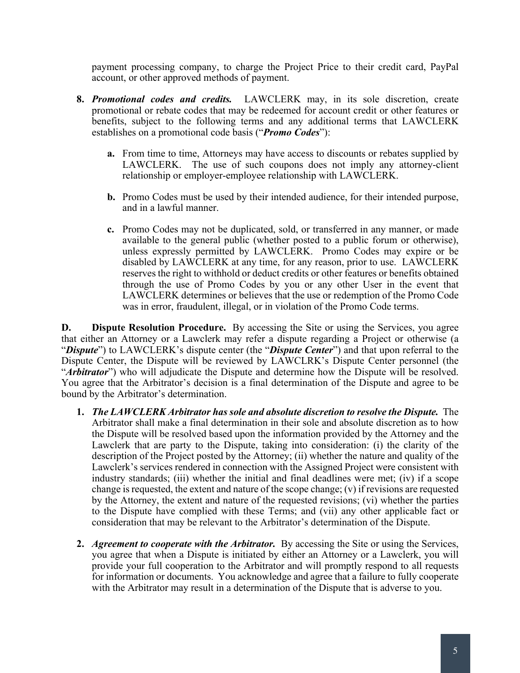payment processing company, to charge the Project Price to their credit card, PayPal account, or other approved methods of payment.

- **8.** *Promotional codes and credits.* LAWCLERK may, in its sole discretion, create promotional or rebate codes that may be redeemed for account credit or other features or benefits, subject to the following terms and any additional terms that LAWCLERK establishes on a promotional code basis ("*Promo Codes*"):
	- **a.** From time to time, Attorneys may have access to discounts or rebates supplied by LAWCLERK. The use of such coupons does not imply any attorney-client relationship or employer-employee relationship with LAWCLERK.
	- **b.** Promo Codes must be used by their intended audience, for their intended purpose, and in a lawful manner.
	- **c.** Promo Codes may not be duplicated, sold, or transferred in any manner, or made available to the general public (whether posted to a public forum or otherwise), unless expressly permitted by LAWCLERK. Promo Codes may expire or be disabled by LAWCLERK at any time, for any reason, prior to use. LAWCLERK reserves the right to withhold or deduct credits or other features or benefits obtained through the use of Promo Codes by you or any other User in the event that LAWCLERK determines or believes that the use or redemption of the Promo Code was in error, fraudulent, illegal, or in violation of the Promo Code terms.

**D. Dispute Resolution Procedure.** By accessing the Site or using the Services, you agree that either an Attorney or a Lawclerk may refer a dispute regarding a Project or otherwise (a "*Dispute*") to LAWCLERK's dispute center (the "*Dispute Center*") and that upon referral to the Dispute Center, the Dispute will be reviewed by LAWCLRK's Dispute Center personnel (the "Arbitrator") who will adjudicate the Dispute and determine how the Dispute will be resolved. You agree that the Arbitrator's decision is a final determination of the Dispute and agree to be bound by the Arbitrator's determination.

- **1.** *The LAWCLERK Arbitrator has sole and absolute discretion to resolve the Dispute.* The Arbitrator shall make a final determination in their sole and absolute discretion as to how the Dispute will be resolved based upon the information provided by the Attorney and the Lawclerk that are party to the Dispute, taking into consideration: (i) the clarity of the description of the Project posted by the Attorney; (ii) whether the nature and quality of the Lawclerk's services rendered in connection with the Assigned Project were consistent with industry standards; (iii) whether the initial and final deadlines were met; (iv) if a scope change is requested, the extent and nature of the scope change; (v) if revisions are requested by the Attorney, the extent and nature of the requested revisions; (vi) whether the parties to the Dispute have complied with these Terms; and (vii) any other applicable fact or consideration that may be relevant to the Arbitrator's determination of the Dispute.
- **2.** *Agreement to cooperate with the Arbitrator.* By accessing the Site or using the Services, you agree that when a Dispute is initiated by either an Attorney or a Lawclerk, you will provide your full cooperation to the Arbitrator and will promptly respond to all requests for information or documents. You acknowledge and agree that a failure to fully cooperate with the Arbitrator may result in a determination of the Dispute that is adverse to you.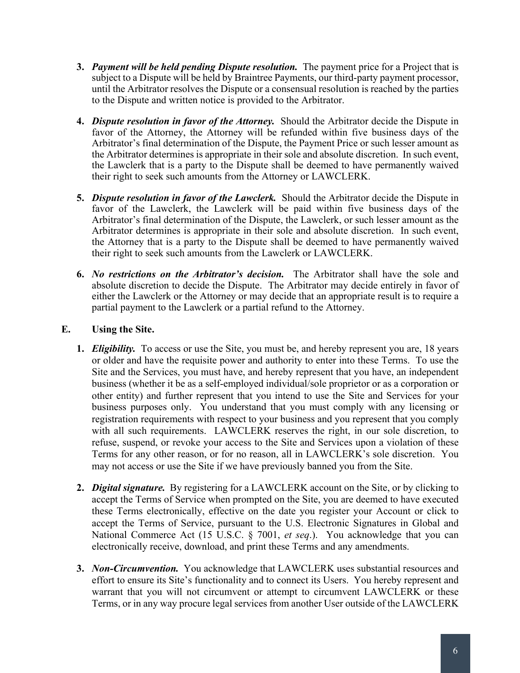- **3.** *Payment will be held pending Dispute resolution.* The payment price for a Project that is subject to a Dispute will be held by Braintree Payments, our third-party payment processor, until the Arbitrator resolves the Dispute or a consensual resolution is reached by the parties to the Dispute and written notice is provided to the Arbitrator.
- **4.** *Dispute resolution in favor of the Attorney.* Should the Arbitrator decide the Dispute in favor of the Attorney, the Attorney will be refunded within five business days of the Arbitrator's final determination of the Dispute, the Payment Price or such lesser amount as the Arbitrator determines is appropriate in their sole and absolute discretion. In such event, the Lawclerk that is a party to the Dispute shall be deemed to have permanently waived their right to seek such amounts from the Attorney or LAWCLERK.
- **5.** *Dispute resolution in favor of the Lawclerk.* Should the Arbitrator decide the Dispute in favor of the Lawclerk, the Lawclerk will be paid within five business days of the Arbitrator's final determination of the Dispute, the Lawclerk, or such lesser amount as the Arbitrator determines is appropriate in their sole and absolute discretion. In such event, the Attorney that is a party to the Dispute shall be deemed to have permanently waived their right to seek such amounts from the Lawclerk or LAWCLERK.
- **6.** *No restrictions on the Arbitrator's decision.* The Arbitrator shall have the sole and absolute discretion to decide the Dispute. The Arbitrator may decide entirely in favor of either the Lawclerk or the Attorney or may decide that an appropriate result is to require a partial payment to the Lawclerk or a partial refund to the Attorney.

## **E. Using the Site.**

- **1.** *Eligibility.* To access or use the Site, you must be, and hereby represent you are, 18 years or older and have the requisite power and authority to enter into these Terms. To use the Site and the Services, you must have, and hereby represent that you have, an independent business (whether it be as a self-employed individual/sole proprietor or as a corporation or other entity) and further represent that you intend to use the Site and Services for your business purposes only. You understand that you must comply with any licensing or registration requirements with respect to your business and you represent that you comply with all such requirements. LAWCLERK reserves the right, in our sole discretion, to refuse, suspend, or revoke your access to the Site and Services upon a violation of these Terms for any other reason, or for no reason, all in LAWCLERK's sole discretion. You may not access or use the Site if we have previously banned you from the Site.
- **2.** *Digital signature.*By registering for a LAWCLERK account on the Site, or by clicking to accept the Terms of Service when prompted on the Site, you are deemed to have executed these Terms electronically, effective on the date you register your Account or click to accept the Terms of Service, pursuant to the U.S. Electronic Signatures in Global and National Commerce Act (15 U.S.C. § 7001, *et seq*.). You acknowledge that you can electronically receive, download, and print these Terms and any amendments.
- **3.** *Non-Circumvention.* You acknowledge that LAWCLERK uses substantial resources and effort to ensure its Site's functionality and to connect its Users. You hereby represent and warrant that you will not circumvent or attempt to circumvent LAWCLERK or these Terms, or in any way procure legal services from another User outside of the LAWCLERK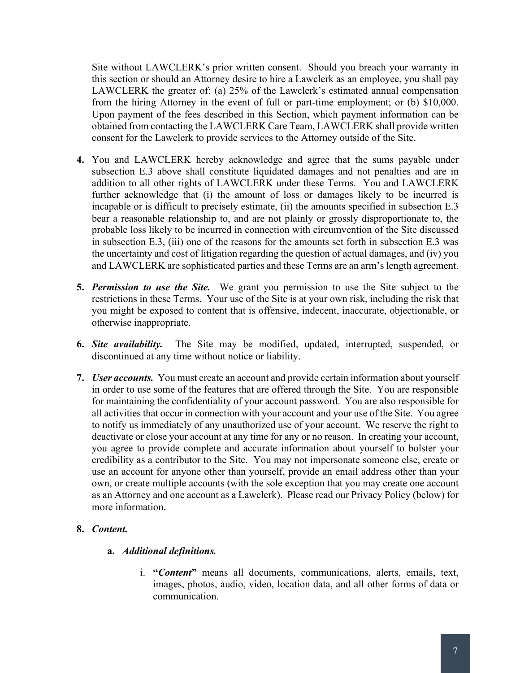Site without LAWCLERK's prior written consent. Should you breach your warranty in this section or should an Attorney desire to hire a Lawclerk as an employee, you shall pay LAWCLERK the greater of: (a) 25% of the Lawclerk's estimated annual compensation from the hiring Attorney in the event of full or part-time employment; or (b) \$10,000. Upon payment of the fees described in this Section, which payment information can be obtained from contacting the LAWCLERK Care Team, LAWCLERK shall provide written consent for the Lawclerk to provide services to the Attorney outside of the Site.

- **4.** You and LAWCLERK hereby acknowledge and agree that the sums payable under subsection E.3 above shall constitute liquidated damages and not penalties and are in addition to all other rights of LAWCLERK under these Terms. You and LAWCLERK further acknowledge that (i) the amount of loss or damages likely to be incurred is incapable or is difficult to precisely estimate, (ii) the amounts specified in subsection E.3 bear a reasonable relationship to, and are not plainly or grossly disproportionate to, the probable loss likely to be incurred in connection with circumvention of the Site discussed in subsection E.3, (iii) one of the reasons for the amounts set forth in subsection E.3 was the uncertainty and cost of litigation regarding the question of actual damages, and (iv) you and LAWCLERK are sophisticated parties and these Terms are an arm's length agreement.
- **5.** *Permission to use the Site.* We grant you permission to use the Site subject to the restrictions in these Terms. Your use of the Site is at your own risk, including the risk that you might be exposed to content that is offensive, indecent, inaccurate, objectionable, or otherwise inappropriate.
- **6.** *Site availability.* The Site may be modified, updated, interrupted, suspended, or discontinued at any time without notice or liability.
- **7.** *User accounts.* You must create an account and provide certain information about yourself in order to use some of the features that are offered through the Site. You are responsible for maintaining the confidentiality of your account password. You are also responsible for all activities that occur in connection with your account and your use of the Site. You agree to notify us immediately of any unauthorized use of your account. We reserve the right to deactivate or close your account at any time for any or no reason. In creating your account, you agree to provide complete and accurate information about yourself to bolster your credibility as a contributor to the Site. You may not impersonate someone else, create or use an account for anyone other than yourself, provide an email address other than your own, or create multiple accounts (with the sole exception that you may create one account as an Attorney and one account as a Lawclerk). Please read our Privacy Policy (below) for more information.

#### **8.** *Content.*

#### **a.** *Additional definitions.*

i. **"***Content***"** means all documents, communications, alerts, emails, text, images, photos, audio, video, location data, and all other forms of data or communication.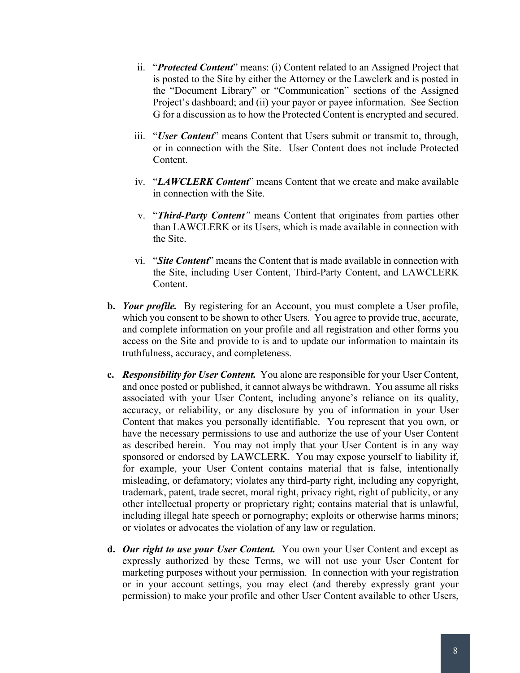- ii. "*Protected Content*" means: (i) Content related to an Assigned Project that is posted to the Site by either the Attorney or the Lawclerk and is posted in the "Document Library" or "Communication" sections of the Assigned Project's dashboard; and (ii) your payor or payee information. See Section G for a discussion as to how the Protected Content is encrypted and secured.
- iii. "*User Content*" means Content that Users submit or transmit to, through, or in connection with the Site. User Content does not include Protected Content.
- iv. "*LAWCLERK Content*" means Content that we create and make available in connection with the Site.
- v. "*Third-Party Content"* means Content that originates from parties other than LAWCLERK or its Users, which is made available in connection with the Site.
- vi. "*Site Content*" means the Content that is made available in connection with the Site, including User Content, Third-Party Content, and LAWCLERK Content.
- **b.** *Your profile.* By registering for an Account, you must complete a User profile, which you consent to be shown to other Users. You agree to provide true, accurate, and complete information on your profile and all registration and other forms you access on the Site and provide to is and to update our information to maintain its truthfulness, accuracy, and completeness.
- **c.** *Responsibility for User Content.* You alone are responsible for your User Content, and once posted or published, it cannot always be withdrawn. You assume all risks associated with your User Content, including anyone's reliance on its quality, accuracy, or reliability, or any disclosure by you of information in your User Content that makes you personally identifiable. You represent that you own, or have the necessary permissions to use and authorize the use of your User Content as described herein. You may not imply that your User Content is in any way sponsored or endorsed by LAWCLERK. You may expose yourself to liability if, for example, your User Content contains material that is false, intentionally misleading, or defamatory; violates any third-party right, including any copyright, trademark, patent, trade secret, moral right, privacy right, right of publicity, or any other intellectual property or proprietary right; contains material that is unlawful, including illegal hate speech or pornography; exploits or otherwise harms minors; or violates or advocates the violation of any law or regulation.
- **d.** *Our right to use your User Content.* You own your User Content and except as expressly authorized by these Terms, we will not use your User Content for marketing purposes without your permission. In connection with your registration or in your account settings, you may elect (and thereby expressly grant your permission) to make your profile and other User Content available to other Users,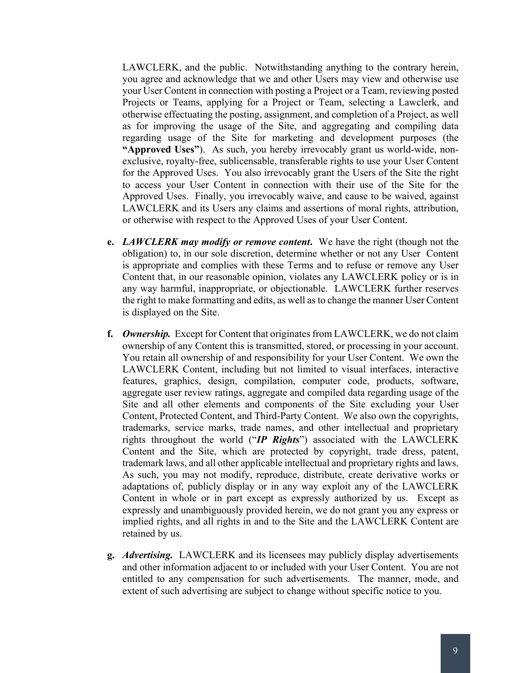LAWCLERK, and the public. Notwithstanding anything to the contrary herein, you agree and acknowledge that we and other Users may view and otherwise use your User Content in connection with posting a Project or a Team, reviewing posted Projects or Teams, applying for a Project or Team, selecting a Lawclerk, and otherwise effectuating the posting, assignment, and completion of a Project, as well as for improving the usage of the Site, and aggregating and compiling data regarding usage of the Site for marketing and development purposes (the **"Approved Uses"**). As such, you hereby irrevocably grant us world-wide, nonexclusive, royalty-free, sublicensable, transferable rights to use your User Content for the Approved Uses. You also irrevocably grant the Users of the Site the right to access your User Content in connection with their use of the Site for the Approved Uses. Finally, you irrevocably waive, and cause to be waived, against LAWCLERK and its Users any claims and assertions of moral rights, attribution, or otherwise with respect to the Approved Uses of your User Content.

- **e.** *LAWCLERK may modify or remove content***.** We have the right (though not the obligation) to, in our sole discretion, determine whether or not any User Content is appropriate and complies with these Terms and to refuse or remove any User Content that, in our reasonable opinion, violates any LAWCLERK policy or is in any way harmful, inappropriate, or objectionable. LAWCLERK further reserves the right to make formatting and edits, as well as to change the manner User Content is displayed on the Site.
- **f.** *Ownership.* Except for Content that originates from LAWCLERK, we do not claim ownership of any Content this is transmitted, stored, or processing in your account. You retain all ownership of and responsibility for your User Content. We own the LAWCLERK Content, including but not limited to visual interfaces, interactive features, graphics, design, compilation, computer code, products, software, aggregate user review ratings, aggregate and compiled data regarding usage of the Site and all other elements and components of the Site excluding your User Content, Protected Content, and Third-Party Content. We also own the copyrights, trademarks, service marks, trade names, and other intellectual and proprietary rights throughout the world ("*IP Rights*") associated with the LAWCLERK Content and the Site, which are protected by copyright, trade dress, patent, trademark laws, and all other applicable intellectual and proprietary rights and laws. As such, you may not modify, reproduce, distribute, create derivative works or adaptations of, publicly display or in any way exploit any of the LAWCLERK Content in whole or in part except as expressly authorized by us. Except as expressly and unambiguously provided herein, we do not grant you any express or implied rights, and all rights in and to the Site and the LAWCLERK Content are retained by us.
- **g.** *Advertising.* LAWCLERK and its licensees may publicly display advertisements and other information adjacent to or included with your User Content. You are not entitled to any compensation for such advertisements. The manner, mode, and extent of such advertising are subject to change without specific notice to you.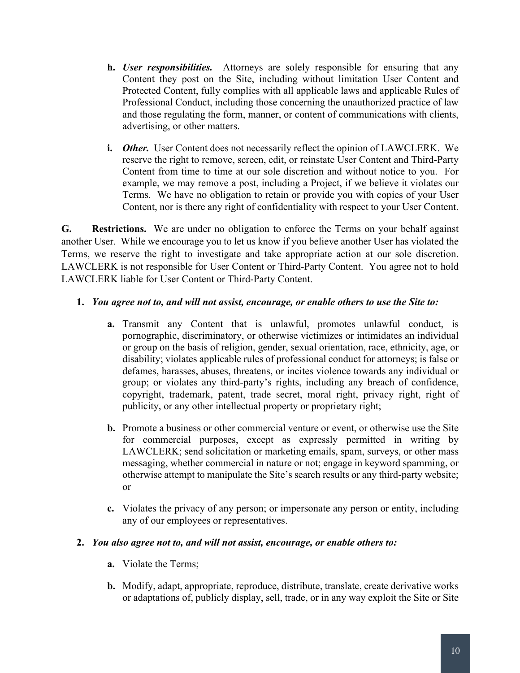- **h.** *User responsibilities.* Attorneys are solely responsible for ensuring that any Content they post on the Site, including without limitation User Content and Protected Content, fully complies with all applicable laws and applicable Rules of Professional Conduct, including those concerning the unauthorized practice of law and those regulating the form, manner, or content of communications with clients, advertising, or other matters.
- **i.** *Other.* User Content does not necessarily reflect the opinion of LAWCLERK. We reserve the right to remove, screen, edit, or reinstate User Content and Third-Party Content from time to time at our sole discretion and without notice to you. For example, we may remove a post, including a Project, if we believe it violates our Terms. We have no obligation to retain or provide you with copies of your User Content, nor is there any right of confidentiality with respect to your User Content.

**G. Restrictions.** We are under no obligation to enforce the Terms on your behalf against another User. While we encourage you to let us know if you believe another User has violated the Terms, we reserve the right to investigate and take appropriate action at our sole discretion. LAWCLERK is not responsible for User Content or Third-Party Content. You agree not to hold LAWCLERK liable for User Content or Third-Party Content.

### **1.** *You agree not to, and will not assist, encourage, or enable others to use the Site to:*

- **a.** Transmit any Content that is unlawful, promotes unlawful conduct, is pornographic, discriminatory, or otherwise victimizes or intimidates an individual or group on the basis of religion, gender, sexual orientation, race, ethnicity, age, or disability; violates applicable rules of professional conduct for attorneys; is false or defames, harasses, abuses, threatens, or incites violence towards any individual or group; or violates any third-party's rights, including any breach of confidence, copyright, trademark, patent, trade secret, moral right, privacy right, right of publicity, or any other intellectual property or proprietary right;
- **b.** Promote a business or other commercial venture or event, or otherwise use the Site for commercial purposes, except as expressly permitted in writing by LAWCLERK; send solicitation or marketing emails, spam, surveys, or other mass messaging, whether commercial in nature or not; engage in keyword spamming, or otherwise attempt to manipulate the Site's search results or any third-party website; or
- **c.** Violates the privacy of any person; or impersonate any person or entity, including any of our employees or representatives.

#### **2.** *You also agree not to, and will not assist, encourage, or enable others to:*

- **a.** Violate the Terms;
- **b.** Modify, adapt, appropriate, reproduce, distribute, translate, create derivative works or adaptations of, publicly display, sell, trade, or in any way exploit the Site or Site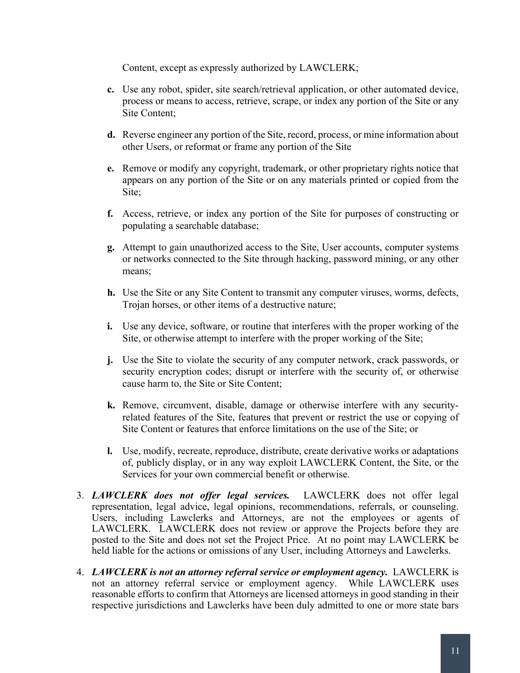Content, except as expressly authorized by LAWCLERK;

- **c.** Use any robot, spider, site search/retrieval application, or other automated device, process or means to access, retrieve, scrape, or index any portion of the Site or any Site Content;
- **d.** Reverse engineer any portion of the Site, record, process, or mine information about other Users, or reformat or frame any portion of the Site
- **e.** Remove or modify any copyright, trademark, or other proprietary rights notice that appears on any portion of the Site or on any materials printed or copied from the Site;
- **f.** Access, retrieve, or index any portion of the Site for purposes of constructing or populating a searchable database;
- **g.** Attempt to gain unauthorized access to the Site, User accounts, computer systems or networks connected to the Site through hacking, password mining, or any other means;
- **h.** Use the Site or any Site Content to transmit any computer viruses, worms, defects, Trojan horses, or other items of a destructive nature;
- **i.** Use any device, software, or routine that interferes with the proper working of the Site, or otherwise attempt to interfere with the proper working of the Site;
- **j.** Use the Site to violate the security of any computer network, crack passwords, or security encryption codes; disrupt or interfere with the security of, or otherwise cause harm to, the Site or Site Content;
- **k.** Remove, circumvent, disable, damage or otherwise interfere with any securityrelated features of the Site, features that prevent or restrict the use or copying of Site Content or features that enforce limitations on the use of the Site; or
- **l.** Use, modify, recreate, reproduce, distribute, create derivative works or adaptations of, publicly display, or in any way exploit LAWCLERK Content, the Site, or the Services for your own commercial benefit or otherwise.
- 3. *LAWCLERK does not offer legal services.* LAWCLERK does not offer legal representation, legal advice, legal opinions, recommendations, referrals, or counseling. Users, including Lawclerks and Attorneys, are not the employees or agents of LAWCLERK. LAWCLERK does not review or approve the Projects before they are posted to the Site and does not set the Project Price. At no point may LAWCLERK be held liable for the actions or omissions of any User, including Attorneys and Lawclerks.
- 4. *LAWCLERK is not an attorney referral service or employment agency.* LAWCLERK is not an attorney referral service or employment agency. While LAWCLERK uses reasonable efforts to confirm that Attorneys are licensed attorneys in good standing in their respective jurisdictions and Lawclerks have been duly admitted to one or more state bars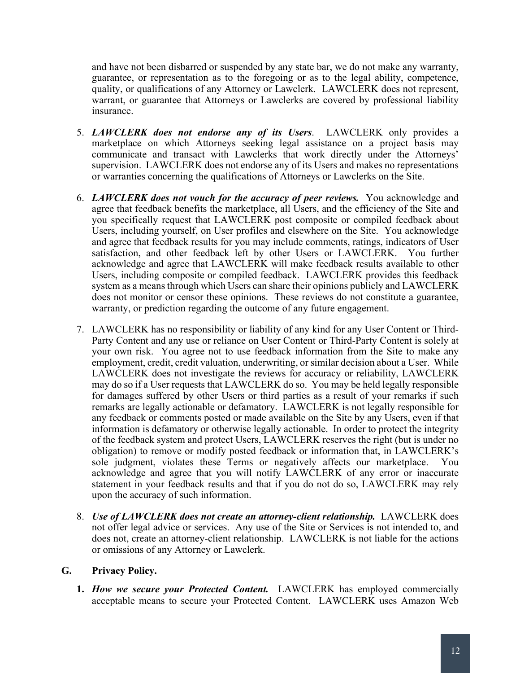and have not been disbarred or suspended by any state bar, we do not make any warranty, guarantee, or representation as to the foregoing or as to the legal ability, competence, quality, or qualifications of any Attorney or Lawclerk. LAWCLERK does not represent, warrant, or guarantee that Attorneys or Lawclerks are covered by professional liability insurance.

- 5. *LAWCLERK does not endorse any of its Users*. LAWCLERK only provides a marketplace on which Attorneys seeking legal assistance on a project basis may communicate and transact with Lawclerks that work directly under the Attorneys' supervision. LAWCLERK does not endorse any of its Users and makes no representations or warranties concerning the qualifications of Attorneys or Lawclerks on the Site.
- 6. *LAWCLERK does not vouch for the accuracy of peer reviews.* You acknowledge and agree that feedback benefits the marketplace, all Users, and the efficiency of the Site and you specifically request that LAWCLERK post composite or compiled feedback about Users, including yourself, on User profiles and elsewhere on the Site. You acknowledge and agree that feedback results for you may include comments, ratings, indicators of User satisfaction, and other feedback left by other Users or LAWCLERK. You further acknowledge and agree that LAWCLERK will make feedback results available to other Users, including composite or compiled feedback. LAWCLERK provides this feedback system as a means through which Users can share their opinions publicly and LAWCLERK does not monitor or censor these opinions. These reviews do not constitute a guarantee, warranty, or prediction regarding the outcome of any future engagement.
- 7. LAWCLERK has no responsibility or liability of any kind for any User Content or Third-Party Content and any use or reliance on User Content or Third-Party Content is solely at your own risk. You agree not to use feedback information from the Site to make any employment, credit, credit valuation, underwriting, or similar decision about a User. While LAWCLERK does not investigate the reviews for accuracy or reliability, LAWCLERK may do so if a User requests that LAWCLERK do so. You may be held legally responsible for damages suffered by other Users or third parties as a result of your remarks if such remarks are legally actionable or defamatory. LAWCLERK is not legally responsible for any feedback or comments posted or made available on the Site by any Users, even if that information is defamatory or otherwise legally actionable. In order to protect the integrity of the feedback system and protect Users, LAWCLERK reserves the right (but is under no obligation) to remove or modify posted feedback or information that, in LAWCLERK's sole judgment, violates these Terms or negatively affects our marketplace. You acknowledge and agree that you will notify LAWCLERK of any error or inaccurate statement in your feedback results and that if you do not do so, LAWCLERK may rely upon the accuracy of such information.
- 8. *Use of LAWCLERK does not create an attorney-client relationship.* LAWCLERK does not offer legal advice or services. Any use of the Site or Services is not intended to, and does not, create an attorney-client relationship. LAWCLERK is not liable for the actions or omissions of any Attorney or Lawclerk.

## **G. Privacy Policy.**

**1.** *How we secure your Protected Content.* LAWCLERK has employed commercially acceptable means to secure your Protected Content. LAWCLERK uses Amazon Web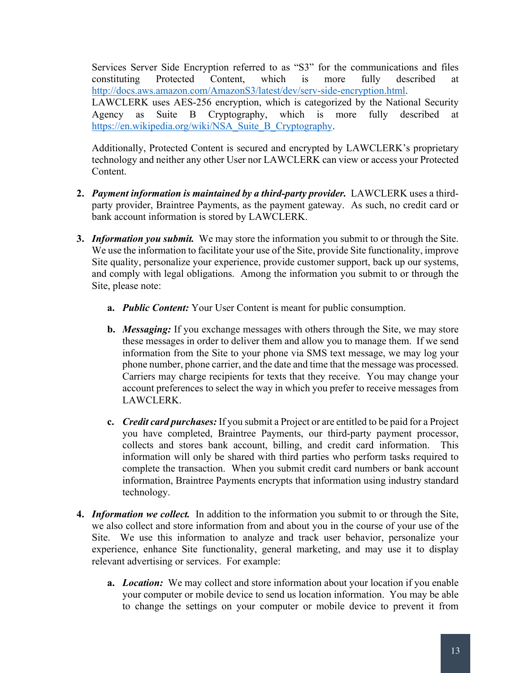Services Server Side Encryption referred to as "S3" for the communications and files constituting Protected Content, which is more fully described at http://docs.aws.amazon.com/AmazonS3/latest/dev/serv-side-encryption.html. LAWCLERK uses AES-256 encryption, which is categorized by the National Security Agency as Suite B Cryptography, which is more fully described at https://en.wikipedia.org/wiki/NSA\_Suite\_B\_Cryptography.

Additionally, Protected Content is secured and encrypted by LAWCLERK's proprietary technology and neither any other User nor LAWCLERK can view or access your Protected Content.

- **2.** *Payment information is maintained by a third-party provider.* LAWCLERK uses a thirdparty provider, Braintree Payments, as the payment gateway. As such, no credit card or bank account information is stored by LAWCLERK.
- **3.** *Information you submit.* We may store the information you submit to or through the Site. We use the information to facilitate your use of the Site, provide Site functionality, improve Site quality, personalize your experience, provide customer support, back up our systems, and comply with legal obligations. Among the information you submit to or through the Site, please note:
	- **a.** *Public Content:* Your User Content is meant for public consumption.
	- **b.** *Messaging:* If you exchange messages with others through the Site, we may store these messages in order to deliver them and allow you to manage them. If we send information from the Site to your phone via SMS text message, we may log your phone number, phone carrier, and the date and time that the message was processed. Carriers may charge recipients for texts that they receive. You may change your account preferences to select the way in which you prefer to receive messages from LAWCLERK.
	- **c.** *Credit card purchases:* If you submit a Project or are entitled to be paid for a Project you have completed, Braintree Payments, our third-party payment processor, collects and stores bank account, billing, and credit card information. This information will only be shared with third parties who perform tasks required to complete the transaction. When you submit credit card numbers or bank account information, Braintree Payments encrypts that information using industry standard technology.
- **4.** *Information we collect.* In addition to the information you submit to or through the Site, we also collect and store information from and about you in the course of your use of the Site. We use this information to analyze and track user behavior, personalize your experience, enhance Site functionality, general marketing, and may use it to display relevant advertising or services. For example:
	- **a.** *Location:* We may collect and store information about your location if you enable your computer or mobile device to send us location information. You may be able to change the settings on your computer or mobile device to prevent it from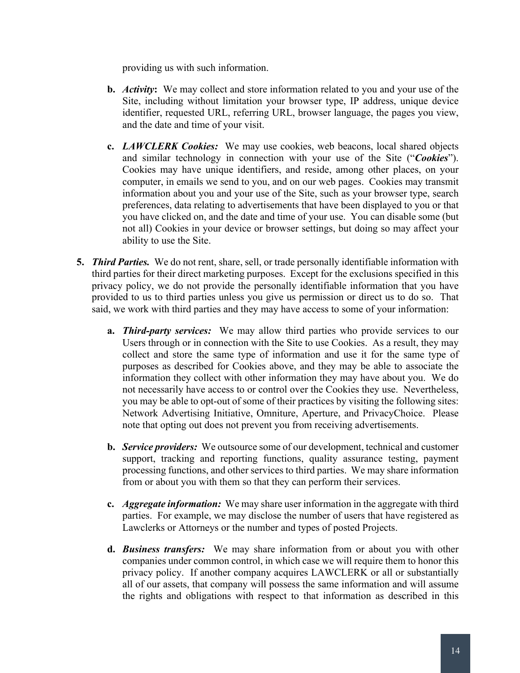providing us with such information.

- **b.** *Activity***:** We may collect and store information related to you and your use of the Site, including without limitation your browser type, IP address, unique device identifier, requested URL, referring URL, browser language, the pages you view, and the date and time of your visit.
- **c.** *LAWCLERK Cookies:* We may use cookies, web beacons, local shared objects and similar technology in connection with your use of the Site ("*Cookies*"). Cookies may have unique identifiers, and reside, among other places, on your computer, in emails we send to you, and on our web pages. Cookies may transmit information about you and your use of the Site, such as your browser type, search preferences, data relating to advertisements that have been displayed to you or that you have clicked on, and the date and time of your use. You can disable some (but not all) Cookies in your device or browser settings, but doing so may affect your ability to use the Site.
- **5.** *Third Parties.* We do not rent, share, sell, or trade personally identifiable information with third parties for their direct marketing purposes. Except for the exclusions specified in this privacy policy, we do not provide the personally identifiable information that you have provided to us to third parties unless you give us permission or direct us to do so. That said, we work with third parties and they may have access to some of your information:
	- **a.** *Third-party services:* We may allow third parties who provide services to our Users through or in connection with the Site to use Cookies. As a result, they may collect and store the same type of information and use it for the same type of purposes as described for Cookies above, and they may be able to associate the information they collect with other information they may have about you. We do not necessarily have access to or control over the Cookies they use. Nevertheless, you may be able to opt-out of some of their practices by visiting the following sites: Network Advertising Initiative, Omniture, Aperture, and PrivacyChoice. Please note that opting out does not prevent you from receiving advertisements.
	- **b.** *Service providers:* We outsource some of our development, technical and customer support, tracking and reporting functions, quality assurance testing, payment processing functions, and other services to third parties. We may share information from or about you with them so that they can perform their services.
	- **c.** *Aggregate information:* We may share user information in the aggregate with third parties. For example, we may disclose the number of users that have registered as Lawclerks or Attorneys or the number and types of posted Projects.
	- **d.** *Business transfers:* We may share information from or about you with other companies under common control, in which case we will require them to honor this privacy policy. If another company acquires LAWCLERK or all or substantially all of our assets, that company will possess the same information and will assume the rights and obligations with respect to that information as described in this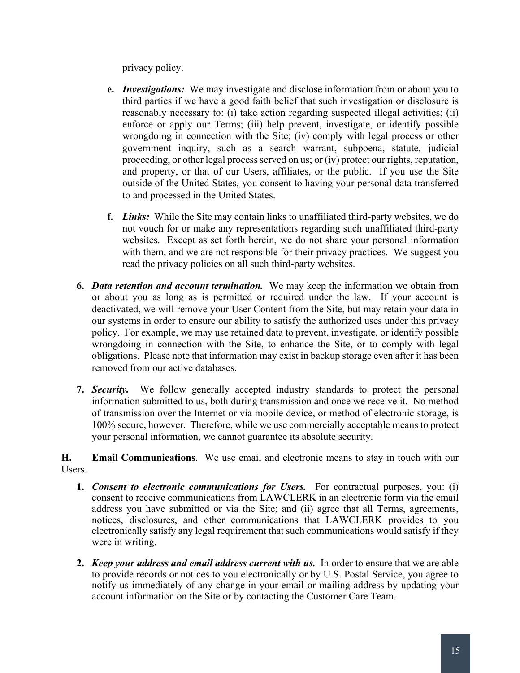privacy policy.

- **e.** *Investigations:* We may investigate and disclose information from or about you to third parties if we have a good faith belief that such investigation or disclosure is reasonably necessary to: (i) take action regarding suspected illegal activities; (ii) enforce or apply our Terms; (iii) help prevent, investigate, or identify possible wrongdoing in connection with the Site; (iv) comply with legal process or other government inquiry, such as a search warrant, subpoena, statute, judicial proceeding, or other legal process served on us; or (iv) protect our rights, reputation, and property, or that of our Users, affiliates, or the public. If you use the Site outside of the United States, you consent to having your personal data transferred to and processed in the United States.
- **f.** *Links:* While the Site may contain links to unaffiliated third-party websites, we do not vouch for or make any representations regarding such unaffiliated third-party websites. Except as set forth herein, we do not share your personal information with them, and we are not responsible for their privacy practices. We suggest you read the privacy policies on all such third-party websites.
- **6.** *Data retention and account termination.* We may keep the information we obtain from or about you as long as is permitted or required under the law. If your account is deactivated, we will remove your User Content from the Site, but may retain your data in our systems in order to ensure our ability to satisfy the authorized uses under this privacy policy. For example, we may use retained data to prevent, investigate, or identify possible wrongdoing in connection with the Site, to enhance the Site, or to comply with legal obligations. Please note that information may exist in backup storage even after it has been removed from our active databases.
- **7.** *Security.* We follow generally accepted industry standards to protect the personal information submitted to us, both during transmission and once we receive it. No method of transmission over the Internet or via mobile device, or method of electronic storage, is 100% secure, however. Therefore, while we use commercially acceptable means to protect your personal information, we cannot guarantee its absolute security.

**H. Email Communications**. We use email and electronic means to stay in touch with our Users.

- **1.** *Consent to electronic communications for Users.* For contractual purposes, you: (i) consent to receive communications from LAWCLERK in an electronic form via the email address you have submitted or via the Site; and (ii) agree that all Terms, agreements, notices, disclosures, and other communications that LAWCLERK provides to you electronically satisfy any legal requirement that such communications would satisfy if they were in writing.
- **2.** *Keep your address and email address current with us.*In order to ensure that we are able to provide records or notices to you electronically or by U.S. Postal Service, you agree to notify us immediately of any change in your email or mailing address by updating your account information on the Site or by contacting the Customer Care Team.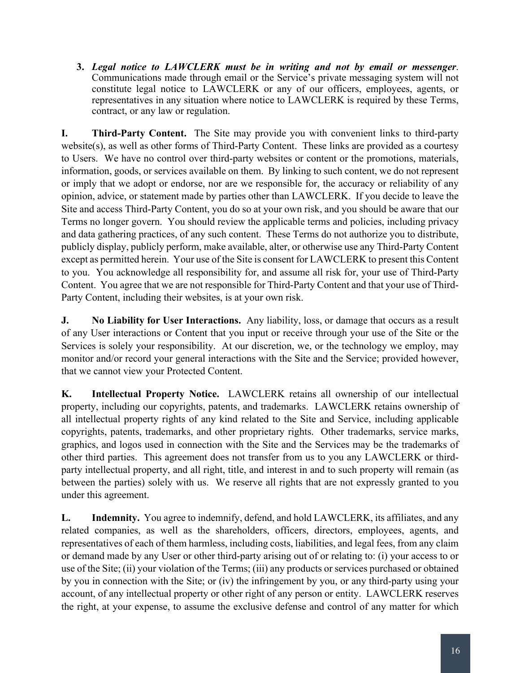**3.** *Legal notice to LAWCLERK must be in writing and not by email or messenger*. Communications made through email or the Service's private messaging system will not constitute legal notice to LAWCLERK or any of our officers, employees, agents, or representatives in any situation where notice to LAWCLERK is required by these Terms, contract, or any law or regulation.

**I. Third-Party Content.** The Site may provide you with convenient links to third-party website(s), as well as other forms of Third-Party Content. These links are provided as a courtesy to Users. We have no control over third-party websites or content or the promotions, materials, information, goods, or services available on them. By linking to such content, we do not represent or imply that we adopt or endorse, nor are we responsible for, the accuracy or reliability of any opinion, advice, or statement made by parties other than LAWCLERK. If you decide to leave the Site and access Third-Party Content, you do so at your own risk, and you should be aware that our Terms no longer govern. You should review the applicable terms and policies, including privacy and data gathering practices, of any such content. These Terms do not authorize you to distribute, publicly display, publicly perform, make available, alter, or otherwise use any Third-Party Content except as permitted herein. Your use of the Site is consent for LAWCLERK to present this Content to you. You acknowledge all responsibility for, and assume all risk for, your use of Third-Party Content. You agree that we are not responsible for Third-Party Content and that your use of Third-Party Content, including their websites, is at your own risk.

**J. No Liability for User Interactions.** Any liability, loss, or damage that occurs as a result of any User interactions or Content that you input or receive through your use of the Site or the Services is solely your responsibility. At our discretion, we, or the technology we employ, may monitor and/or record your general interactions with the Site and the Service; provided however, that we cannot view your Protected Content.

**K. Intellectual Property Notice.** LAWCLERK retains all ownership of our intellectual property, including our copyrights, patents, and trademarks.LAWCLERK retains ownership of all intellectual property rights of any kind related to the Site and Service, including applicable copyrights, patents, trademarks, and other proprietary rights. Other trademarks, service marks, graphics, and logos used in connection with the Site and the Services may be the trademarks of other third parties. This agreement does not transfer from us to you any LAWCLERK or thirdparty intellectual property, and all right, title, and interest in and to such property will remain (as between the parties) solely with us. We reserve all rights that are not expressly granted to you under this agreement.

**L. Indemnity.** You agree to indemnify, defend, and hold LAWCLERK, its affiliates, and any related companies, as well as the shareholders, officers, directors, employees, agents, and representatives of each of them harmless, including costs, liabilities, and legal fees, from any claim or demand made by any User or other third-party arising out of or relating to: (i) your access to or use of the Site; (ii) your violation of the Terms; (iii) any products or services purchased or obtained by you in connection with the Site; or (iv) the infringement by you, or any third-party using your account, of any intellectual property or other right of any person or entity. LAWCLERK reserves the right, at your expense, to assume the exclusive defense and control of any matter for which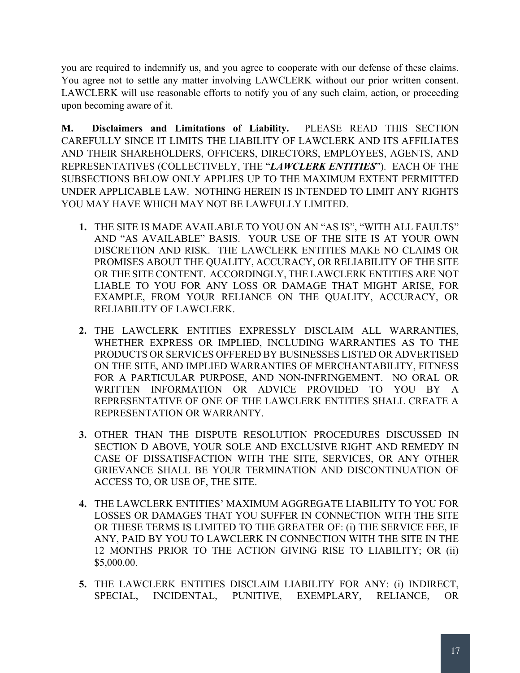you are required to indemnify us, and you agree to cooperate with our defense of these claims. You agree not to settle any matter involving LAWCLERK without our prior written consent. LAWCLERK will use reasonable efforts to notify you of any such claim, action, or proceeding upon becoming aware of it.

**M. Disclaimers and Limitations of Liability.** PLEASE READ THIS SECTION CAREFULLY SINCE IT LIMITS THE LIABILITY OF LAWCLERK AND ITS AFFILIATES AND THEIR SHAREHOLDERS, OFFICERS, DIRECTORS, EMPLOYEES, AGENTS, AND REPRESENTATIVES (COLLECTIVELY, THE "*LAWCLERK ENTITIES*"). EACH OF THE SUBSECTIONS BELOW ONLY APPLIES UP TO THE MAXIMUM EXTENT PERMITTED UNDER APPLICABLE LAW. NOTHING HEREIN IS INTENDED TO LIMIT ANY RIGHTS YOU MAY HAVE WHICH MAY NOT BE LAWFULLY LIMITED.

- **1.** THE SITE IS MADE AVAILABLE TO YOU ON AN "AS IS", "WITH ALL FAULTS" AND "AS AVAILABLE" BASIS. YOUR USE OF THE SITE IS AT YOUR OWN DISCRETION AND RISK. THE LAWCLERK ENTITIES MAKE NO CLAIMS OR PROMISES ABOUT THE QUALITY, ACCURACY, OR RELIABILITY OF THE SITE OR THE SITE CONTENT. ACCORDINGLY, THE LAWCLERK ENTITIES ARE NOT LIABLE TO YOU FOR ANY LOSS OR DAMAGE THAT MIGHT ARISE, FOR EXAMPLE, FROM YOUR RELIANCE ON THE QUALITY, ACCURACY, OR RELIABILITY OF LAWCLERK.
- **2.** THE LAWCLERK ENTITIES EXPRESSLY DISCLAIM ALL WARRANTIES, WHETHER EXPRESS OR IMPLIED, INCLUDING WARRANTIES AS TO THE PRODUCTS OR SERVICES OFFERED BY BUSINESSES LISTED OR ADVERTISED ON THE SITE, AND IMPLIED WARRANTIES OF MERCHANTABILITY, FITNESS FOR A PARTICULAR PURPOSE, AND NON-INFRINGEMENT. NO ORAL OR WRITTEN INFORMATION OR ADVICE PROVIDED TO YOU BY A REPRESENTATIVE OF ONE OF THE LAWCLERK ENTITIES SHALL CREATE A REPRESENTATION OR WARRANTY.
- **3.** OTHER THAN THE DISPUTE RESOLUTION PROCEDURES DISCUSSED IN SECTION D ABOVE, YOUR SOLE AND EXCLUSIVE RIGHT AND REMEDY IN CASE OF DISSATISFACTION WITH THE SITE, SERVICES, OR ANY OTHER GRIEVANCE SHALL BE YOUR TERMINATION AND DISCONTINUATION OF ACCESS TO, OR USE OF, THE SITE.
- **4.** THE LAWCLERK ENTITIES' MAXIMUM AGGREGATE LIABILITY TO YOU FOR LOSSES OR DAMAGES THAT YOU SUFFER IN CONNECTION WITH THE SITE OR THESE TERMS IS LIMITED TO THE GREATER OF: (i) THE SERVICE FEE, IF ANY, PAID BY YOU TO LAWCLERK IN CONNECTION WITH THE SITE IN THE 12 MONTHS PRIOR TO THE ACTION GIVING RISE TO LIABILITY; OR (ii) \$5,000.00.
- **5.** THE LAWCLERK ENTITIES DISCLAIM LIABILITY FOR ANY: (i) INDIRECT, SPECIAL, INCIDENTAL, PUNITIVE, EXEMPLARY, RELIANCE, OR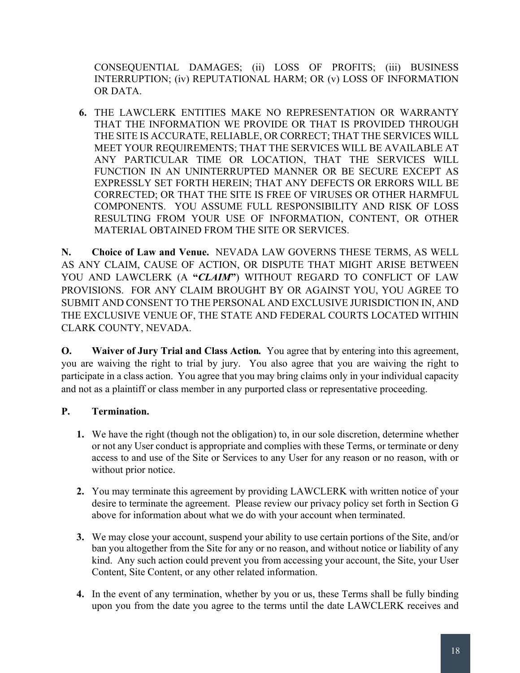CONSEQUENTIAL DAMAGES; (ii) LOSS OF PROFITS; (iii) BUSINESS INTERRUPTION; (iv) REPUTATIONAL HARM; OR (v) LOSS OF INFORMATION OR DATA.

**6.** THE LAWCLERK ENTITIES MAKE NO REPRESENTATION OR WARRANTY THAT THE INFORMATION WE PROVIDE OR THAT IS PROVIDED THROUGH THE SITE IS ACCURATE, RELIABLE, OR CORRECT; THAT THE SERVICES WILL MEET YOUR REQUIREMENTS; THAT THE SERVICES WILL BE AVAILABLE AT ANY PARTICULAR TIME OR LOCATION, THAT THE SERVICES WILL FUNCTION IN AN UNINTERRUPTED MANNER OR BE SECURE EXCEPT AS EXPRESSLY SET FORTH HEREIN; THAT ANY DEFECTS OR ERRORS WILL BE CORRECTED; OR THAT THE SITE IS FREE OF VIRUSES OR OTHER HARMFUL COMPONENTS. YOU ASSUME FULL RESPONSIBILITY AND RISK OF LOSS RESULTING FROM YOUR USE OF INFORMATION, CONTENT, OR OTHER MATERIAL OBTAINED FROM THE SITE OR SERVICES.

**N. Choice of Law and Venue.** NEVADA LAW GOVERNS THESE TERMS, AS WELL AS ANY CLAIM, CAUSE OF ACTION, OR DISPUTE THAT MIGHT ARISE BETWEEN YOU AND LAWCLERK (A "*CLAIM*") WITHOUT REGARD TO CONFLICT OF LAW PROVISIONS. FOR ANY CLAIM BROUGHT BY OR AGAINST YOU, YOU AGREE TO SUBMIT AND CONSENT TO THE PERSONAL AND EXCLUSIVE JURISDICTION IN, AND THE EXCLUSIVE VENUE OF, THE STATE AND FEDERAL COURTS LOCATED WITHIN CLARK COUNTY, NEVADA.

**O. Waiver of Jury Trial and Class Action***.* You agree that by entering into this agreement, you are waiving the right to trial by jury. You also agree that you are waiving the right to participate in a class action. You agree that you may bring claims only in your individual capacity and not as a plaintiff or class member in any purported class or representative proceeding.

## **P. Termination.**

- **1.** We have the right (though not the obligation) to, in our sole discretion, determine whether or not any User conduct is appropriate and complies with these Terms, or terminate or deny access to and use of the Site or Services to any User for any reason or no reason, with or without prior notice.
- **2.** You may terminate this agreement by providing LAWCLERK with written notice of your desire to terminate the agreement. Please review our privacy policy set forth in Section G above for information about what we do with your account when terminated.
- **3.** We may close your account, suspend your ability to use certain portions of the Site, and/or ban you altogether from the Site for any or no reason, and without notice or liability of any kind. Any such action could prevent you from accessing your account, the Site, your User Content, Site Content, or any other related information.
- **4.** In the event of any termination, whether by you or us, these Terms shall be fully binding upon you from the date you agree to the terms until the date LAWCLERK receives and